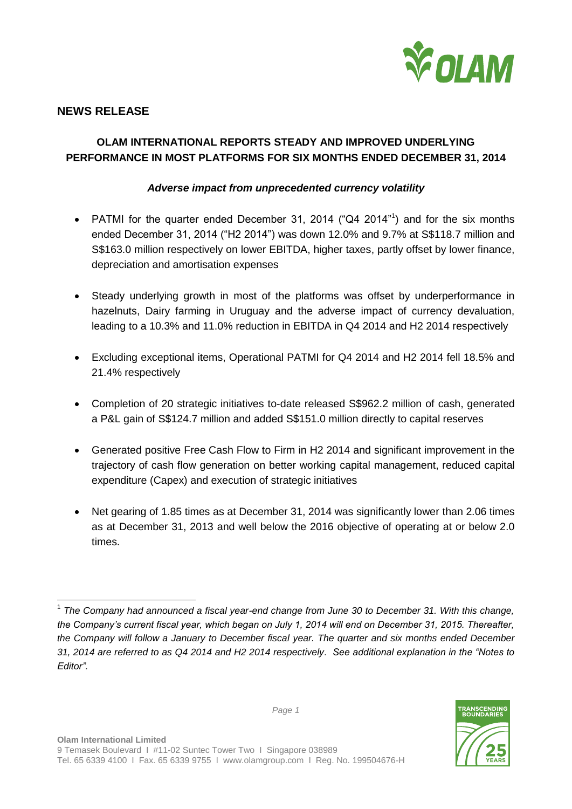

## **NEWS RELEASE**

# **OLAM INTERNATIONAL REPORTS STEADY AND IMPROVED UNDERLYING PERFORMANCE IN MOST PLATFORMS FOR SIX MONTHS ENDED DECEMBER 31, 2014**

## *Adverse impact from unprecedented currency volatility*

- PATMI for the quarter ended December 31, 2014 ("Q4 2014"<sup>1</sup>) and for the six months ended December 31, 2014 ("H2 2014") was down 12.0% and 9.7% at S\$118.7 million and S\$163.0 million respectively on lower EBITDA, higher taxes, partly offset by lower finance, depreciation and amortisation expenses
- Steady underlying growth in most of the platforms was offset by underperformance in hazelnuts, Dairy farming in Uruguay and the adverse impact of currency devaluation, leading to a 10.3% and 11.0% reduction in EBITDA in Q4 2014 and H2 2014 respectively
- Excluding exceptional items, Operational PATMI for Q4 2014 and H2 2014 fell 18.5% and 21.4% respectively
- Completion of 20 strategic initiatives to-date released S\$962.2 million of cash, generated a P&L gain of S\$124.7 million and added S\$151.0 million directly to capital reserves
- Generated positive Free Cash Flow to Firm in H2 2014 and significant improvement in the trajectory of cash flow generation on better working capital management, reduced capital expenditure (Capex) and execution of strategic initiatives
- Net gearing of 1.85 times as at December 31, 2014 was significantly lower than 2.06 times as at December 31, 2013 and well below the 2016 objective of operating at or below 2.0 times.

 $\overline{a}$ 1 *The Company had announced a fiscal year-end change from June 30 to December 31. With this change, the Company's current fiscal year, which began on July 1, 2014 will end on December 31, 2015. Thereafter, the Company will follow a January to December fiscal year. The quarter and six months ended December 31, 2014 are referred to as Q4 2014 and H2 2014 respectively. See additional explanation in the "Notes to Editor".*

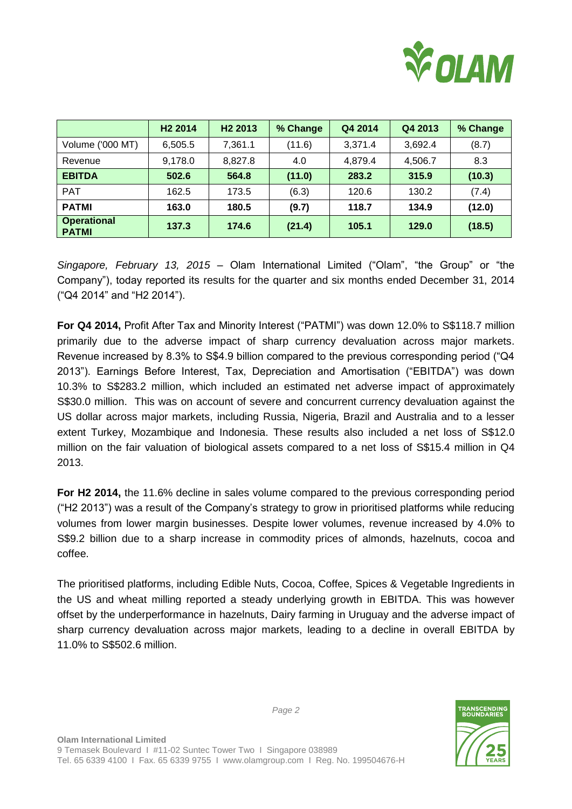

|                                    | H <sub>2</sub> 2014 | H <sub>2</sub> 2013 | % Change | Q4 2014 | Q4 2013 | % Change |
|------------------------------------|---------------------|---------------------|----------|---------|---------|----------|
| Volume ('000 MT)                   | 6,505.5             | 7,361.1             | (11.6)   | 3,371.4 | 3,692.4 | (8.7)    |
| Revenue                            | 9,178.0             | 8,827.8             | 4.0      | 4,879.4 | 4,506.7 | 8.3      |
| <b>EBITDA</b>                      | 502.6               | 564.8               | (11.0)   | 283.2   | 315.9   | (10.3)   |
| <b>PAT</b>                         | 162.5               | 173.5               | (6.3)    | 120.6   | 130.2   | (7.4)    |
| <b>PATMI</b>                       | 163.0               | 180.5               | (9.7)    | 118.7   | 134.9   | (12.0)   |
| <b>Operational</b><br><b>PATMI</b> | 137.3               | 174.6               | (21.4)   | 105.1   | 129.0   | (18.5)   |

*Singapore, February 13, 2015 –* Olam International Limited ("Olam", "the Group" or "the Company"), today reported its results for the quarter and six months ended December 31, 2014 ("Q4 2014" and "H2 2014").

**For Q4 2014,** Profit After Tax and Minority Interest ("PATMI") was down 12.0% to S\$118.7 million primarily due to the adverse impact of sharp currency devaluation across major markets. Revenue increased by 8.3% to S\$4.9 billion compared to the previous corresponding period ("Q4 2013"). Earnings Before Interest, Tax, Depreciation and Amortisation ("EBITDA") was down 10.3% to S\$283.2 million, which included an estimated net adverse impact of approximately S\$30.0 million. This was on account of severe and concurrent currency devaluation against the US dollar across major markets, including Russia, Nigeria, Brazil and Australia and to a lesser extent Turkey, Mozambique and Indonesia. These results also included a net loss of S\$12.0 million on the fair valuation of biological assets compared to a net loss of S\$15.4 million in Q4 2013.

**For H2 2014,** the 11.6% decline in sales volume compared to the previous corresponding period ("H2 2013") was a result of the Company's strategy to grow in prioritised platforms while reducing volumes from lower margin businesses. Despite lower volumes, revenue increased by 4.0% to S\$9.2 billion due to a sharp increase in commodity prices of almonds, hazelnuts, cocoa and coffee.

The prioritised platforms, including Edible Nuts, Cocoa, Coffee, Spices & Vegetable Ingredients in the US and wheat milling reported a steady underlying growth in EBITDA. This was however offset by the underperformance in hazelnuts, Dairy farming in Uruguay and the adverse impact of sharp currency devaluation across major markets, leading to a decline in overall EBITDA by 11.0% to S\$502.6 million.

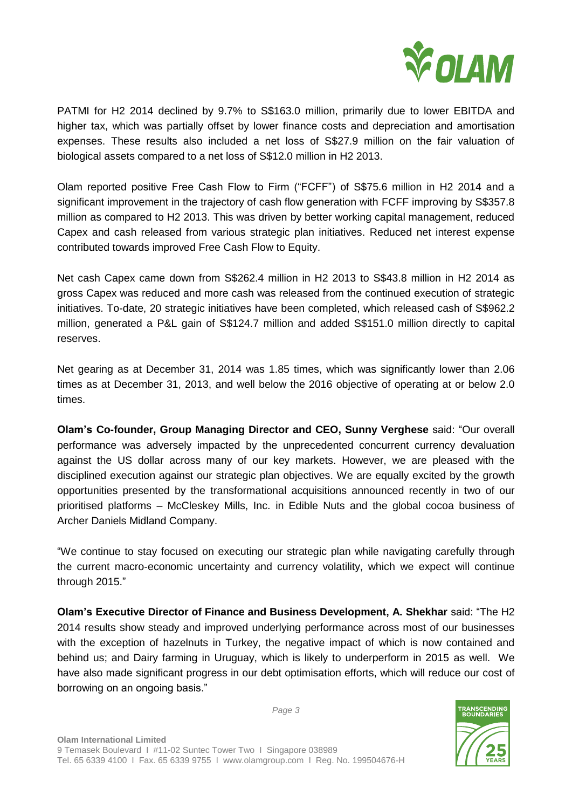

PATMI for H2 2014 declined by 9.7% to S\$163.0 million, primarily due to lower EBITDA and higher tax, which was partially offset by lower finance costs and depreciation and amortisation expenses. These results also included a net loss of S\$27.9 million on the fair valuation of biological assets compared to a net loss of S\$12.0 million in H2 2013.

Olam reported positive Free Cash Flow to Firm ("FCFF") of S\$75.6 million in H2 2014 and a significant improvement in the trajectory of cash flow generation with FCFF improving by S\$357.8 million as compared to H2 2013. This was driven by better working capital management, reduced Capex and cash released from various strategic plan initiatives. Reduced net interest expense contributed towards improved Free Cash Flow to Equity.

Net cash Capex came down from S\$262.4 million in H2 2013 to S\$43.8 million in H2 2014 as gross Capex was reduced and more cash was released from the continued execution of strategic initiatives. To-date, 20 strategic initiatives have been completed, which released cash of S\$962.2 million, generated a P&L gain of S\$124.7 million and added S\$151.0 million directly to capital reserves.

Net gearing as at December 31, 2014 was 1.85 times, which was significantly lower than 2.06 times as at December 31, 2013, and well below the 2016 objective of operating at or below 2.0 times.

**Olam's Co-founder, Group Managing Director and CEO, Sunny Verghese** said: "Our overall performance was adversely impacted by the unprecedented concurrent currency devaluation against the US dollar across many of our key markets. However, we are pleased with the disciplined execution against our strategic plan objectives. We are equally excited by the growth opportunities presented by the transformational acquisitions announced recently in two of our prioritised platforms – McCleskey Mills, Inc. in Edible Nuts and the global cocoa business of Archer Daniels Midland Company.

"We continue to stay focused on executing our strategic plan while navigating carefully through the current macro-economic uncertainty and currency volatility, which we expect will continue through 2015."

**Olam's Executive Director of Finance and Business Development, A. Shekhar** said: "The H2 2014 results show steady and improved underlying performance across most of our businesses with the exception of hazelnuts in Turkey, the negative impact of which is now contained and behind us; and Dairy farming in Uruguay, which is likely to underperform in 2015 as well. We have also made significant progress in our debt optimisation efforts, which will reduce our cost of borrowing on an ongoing basis."

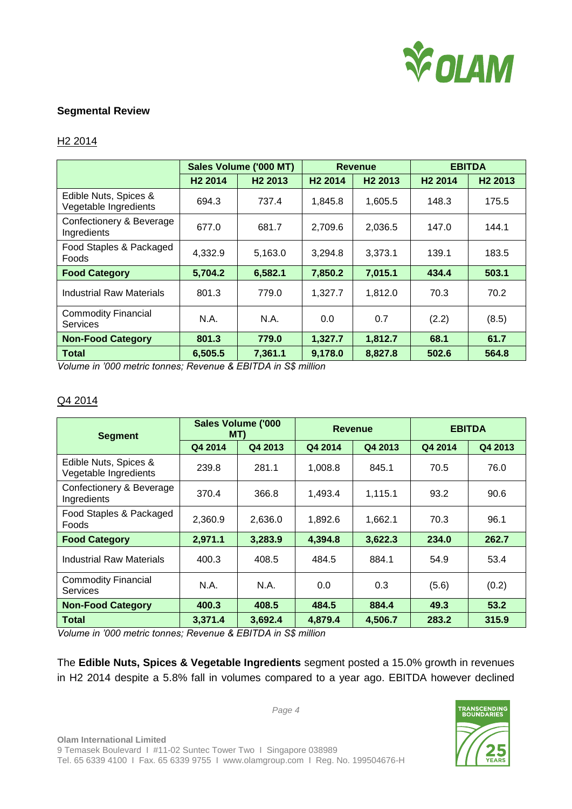

## **Segmental Review**

### H2 2014

|                                                | Sales Volume ('000 MT) |                     | <b>Revenue</b>      |                     | <b>EBITDA</b>       |                     |
|------------------------------------------------|------------------------|---------------------|---------------------|---------------------|---------------------|---------------------|
|                                                | H <sub>2</sub> 2014    | H <sub>2</sub> 2013 | H <sub>2</sub> 2014 | H <sub>2</sub> 2013 | H <sub>2</sub> 2014 | H <sub>2</sub> 2013 |
| Edible Nuts, Spices &<br>Vegetable Ingredients | 694.3                  | 737.4               | 1,845.8             | 1.605.5             | 148.3               | 175.5               |
| Confectionery & Beverage<br>Ingredients        | 677.0                  | 681.7               | 2,709.6             | 2.036.5             | 147.0               | 144.1               |
| Food Staples & Packaged<br><b>Foods</b>        | 4,332.9                | 5,163.0             | 3,294.8             | 3,373.1             | 139.1               | 183.5               |
| <b>Food Category</b>                           | 5,704.2                | 6,582.1             | 7,850.2             | 7,015.1             | 434.4               | 503.1               |
| <b>Industrial Raw Materials</b>                | 801.3                  | 779.0               | 1,327.7             | 1,812.0             | 70.3                | 70.2                |
| <b>Commodity Financial</b><br><b>Services</b>  | N.A.                   | N.A.                | 0.0                 | 0.7                 | (2.2)               | (8.5)               |
| <b>Non-Food Category</b>                       | 801.3                  | 779.0               | 1,327.7             | 1.812.7             | 68.1                | 61.7                |
| <b>Total</b>                                   | 6,505.5                | 7,361.1             | 9,178.0             | 8,827.8             | 502.6               | 564.8               |

*Volume in '000 metric tonnes; Revenue & EBITDA in S\$ million*

### Q4 2014

| <b>Segment</b>                                 | <b>Sales Volume ('000</b><br>MT) |         | <b>Revenue</b> |         | <b>EBITDA</b> |         |
|------------------------------------------------|----------------------------------|---------|----------------|---------|---------------|---------|
|                                                | Q4 2014                          | Q4 2013 | Q4 2014        | Q4 2013 | Q4 2014       | Q4 2013 |
| Edible Nuts, Spices &<br>Vegetable Ingredients | 239.8                            | 281.1   | 1,008.8        | 845.1   | 70.5          | 76.0    |
| Confectionery & Beverage<br>Ingredients        | 370.4                            | 366.8   | 1,493.4        | 1,115.1 | 93.2          | 90.6    |
| Food Staples & Packaged<br><b>Foods</b>        | 2,360.9                          | 2,636.0 | 1,892.6        | 1,662.1 | 70.3          | 96.1    |
| <b>Food Category</b>                           | 2,971.1                          | 3,283.9 | 4,394.8        | 3,622.3 | 234.0         | 262.7   |
| <b>Industrial Raw Materials</b>                | 400.3                            | 408.5   | 484.5          | 884.1   | 54.9          | 53.4    |
| <b>Commodity Financial</b><br>Services         | N.A.                             | N.A.    | 0.0            | 0.3     | (5.6)         | (0.2)   |
| <b>Non-Food Category</b>                       | 400.3                            | 408.5   | 484.5          | 884.4   | 49.3          | 53.2    |
| <b>Total</b>                                   | 3,371.4                          | 3,692.4 | 4,879.4        | 4,506.7 | 283.2         | 315.9   |

*Volume in '000 metric tonnes; Revenue & EBITDA in S\$ million*

The **Edible Nuts, Spices & Vegetable Ingredients** segment posted a 15.0% growth in revenues in H2 2014 despite a 5.8% fall in volumes compared to a year ago. EBITDA however declined

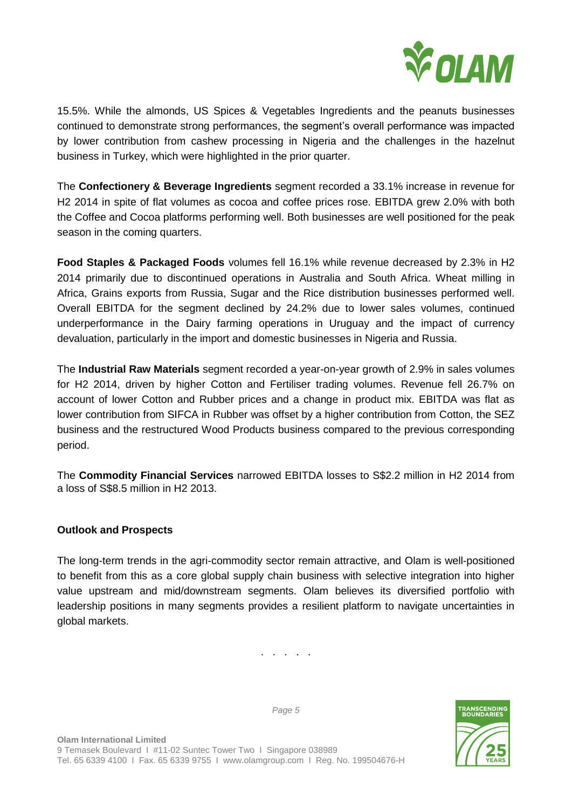

15.5%. While the almonds, US Spices & Vegetables Ingredients and the peanuts businesses continued to demonstrate strong performances, the segment's overall performance was impacted by lower contribution from cashew processing in Nigeria and the challenges in the hazelnut business in Turkey, which were highlighted in the prior quarter.

The **Confectionery & Beverage Ingredients** segment recorded a 33.1% increase in revenue for H2 2014 in spite of flat volumes as cocoa and coffee prices rose. EBITDA grew 2.0% with both the Coffee and Cocoa platforms performing well. Both businesses are well positioned for the peak season in the coming quarters.

**Food Staples & Packaged Foods** volumes fell 16.1% while revenue decreased by 2.3% in H2 2014 primarily due to discontinued operations in Australia and South Africa. Wheat milling in Africa, Grains exports from Russia, Sugar and the Rice distribution businesses performed well. Overall EBITDA for the segment declined by 24.2% due to lower sales volumes, continued underperformance in the Dairy farming operations in Uruguay and the impact of currency devaluation, particularly in the import and domestic businesses in Nigeria and Russia.

The **Industrial Raw Materials** segment recorded a year-on-year growth of 2.9% in sales volumes for H2 2014, driven by higher Cotton and Fertiliser trading volumes. Revenue fell 26.7% on account of lower Cotton and Rubber prices and a change in product mix. EBITDA was flat as lower contribution from SIFCA in Rubber was offset by a higher contribution from Cotton, the SEZ business and the restructured Wood Products business compared to the previous corresponding period.

The **Commodity Financial Services** narrowed EBITDA losses to S\$2.2 million in H2 2014 from a loss of S\$8.5 million in H2 2013.

## **Outlook and Prospects**

The long-term trends in the agri-commodity sector remain attractive, and Olam is well-positioned to benefit from this as a core global supply chain business with selective integration into higher value upstream and mid/downstream segments. Olam believes its diversified portfolio with leadership positions in many segments provides a resilient platform to navigate uncertainties in global markets.

. . . . .

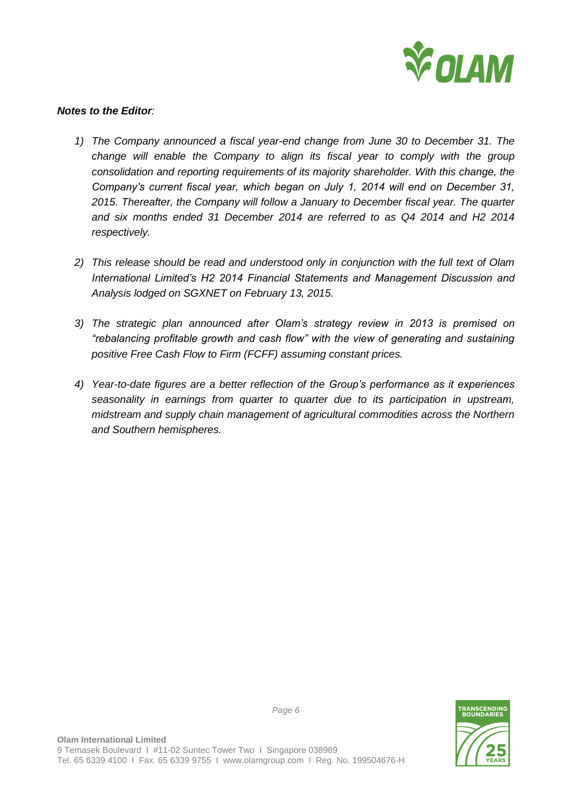

### *Notes to the Editor:*

- *1) The Company announced a fiscal year-end change from June 30 to December 31. The change will enable the Company to align its fiscal year to comply with the group consolidation and reporting requirements of its majority shareholder. With this change, the Company's current fiscal year, which began on July 1, 2014 will end on December 31, 2015. Thereafter, the Company will follow a January to December fiscal year. The quarter and six months ended 31 December 2014 are referred to as Q4 2014 and H2 2014 respectively.*
- *2) This release should be read and understood only in conjunction with the full text of Olam International Limited's H2 2014 Financial Statements and Management Discussion and Analysis lodged on SGXNET on February 13, 2015.*
- *3) The strategic plan announced after Olam's strategy review in 2013 is premised on "rebalancing profitable growth and cash flow" with the view of generating and sustaining positive Free Cash Flow to Firm (FCFF) assuming constant prices.*
- *4) Year-to-date figures are a better reflection of the Group's performance as it experiences seasonality in earnings from quarter to quarter due to its participation in upstream, midstream and supply chain management of agricultural commodities across the Northern and Southern hemispheres.*